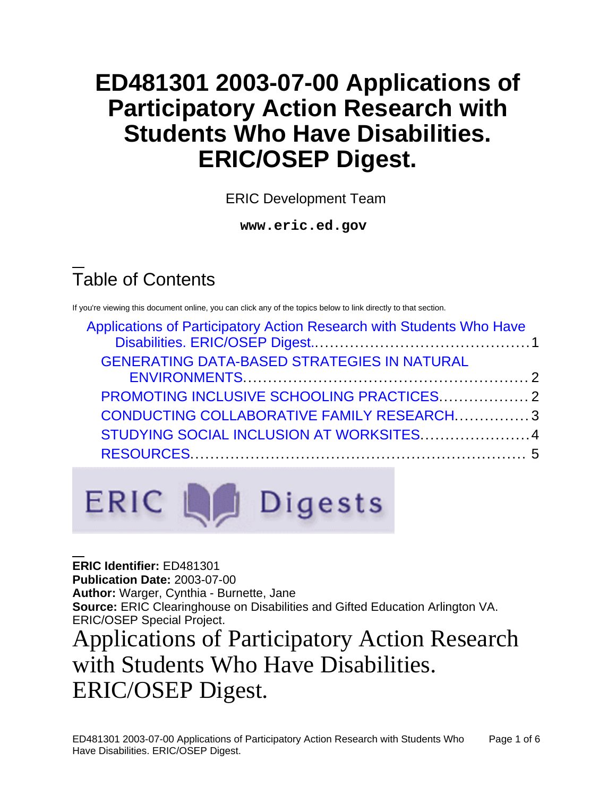# **ED481301 2003-07-00 Applications of Participatory Action Research with Students Who Have Disabilities. ERIC/OSEP Digest.**

ERIC Development Team

**www.eric.ed.gov**

## Table of Contents

If you're viewing this document online, you can click any of the topics below to link directly to that section.

| Applications of Participatory Action Research with Students Who Have |  |
|----------------------------------------------------------------------|--|
|                                                                      |  |
| <b>GENERATING DATA-BASED STRATEGIES IN NATURAL</b>                   |  |
|                                                                      |  |
|                                                                      |  |
| CONDUCTING COLLABORATIVE FAMILY RESEARCH3                            |  |
| STUDYING SOCIAL INCLUSION AT WORKSITES  4                            |  |
|                                                                      |  |
|                                                                      |  |

ERIC La Digests

**ERIC Identifier:** ED481301 **Publication Date:** 2003-07-00 **Author:** Warger, Cynthia - Burnette, Jane **Source:** ERIC Clearinghouse on Disabilities and Gifted Education Arlington VA. ERIC/OSEP Special Project.

## <span id="page-0-0"></span>Applications of Participatory Action Research with Students Who Have Disabilities. ERIC/OSEP Digest.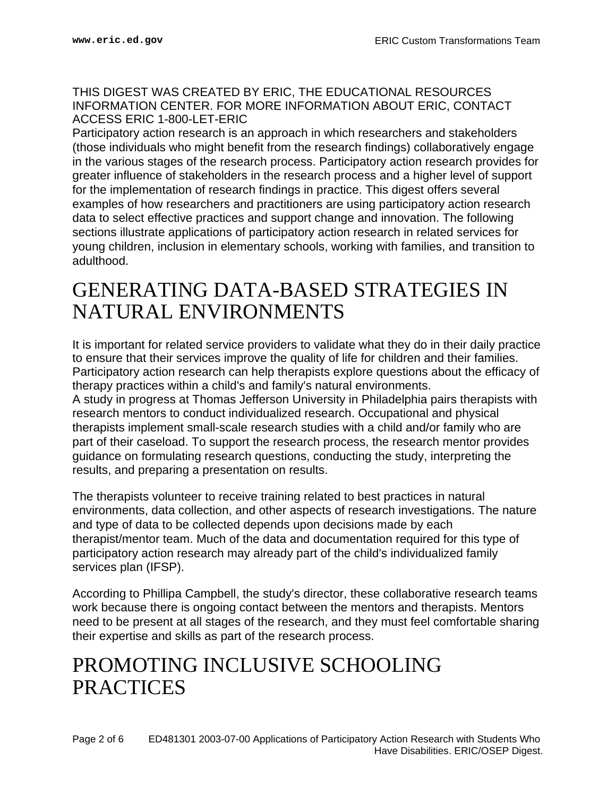#### THIS DIGEST WAS CREATED BY ERIC, THE EDUCATIONAL RESOURCES INFORMATION CENTER. FOR MORE INFORMATION ABOUT ERIC, CONTACT ACCESS ERIC 1-800-LET-ERIC

Participatory action research is an approach in which researchers and stakeholders (those individuals who might benefit from the research findings) collaboratively engage in the various stages of the research process. Participatory action research provides for greater influence of stakeholders in the research process and a higher level of support for the implementation of research findings in practice. This digest offers several examples of how researchers and practitioners are using participatory action research data to select effective practices and support change and innovation. The following sections illustrate applications of participatory action research in related services for young children, inclusion in elementary schools, working with families, and transition to adulthood.

#### <span id="page-1-0"></span>GENERATING DATA-BASED STRATEGIES IN NATURAL ENVIRONMENTS

It is important for related service providers to validate what they do in their daily practice to ensure that their services improve the quality of life for children and their families. Participatory action research can help therapists explore questions about the efficacy of therapy practices within a child's and family's natural environments. A study in progress at Thomas Jefferson University in Philadelphia pairs therapists with research mentors to conduct individualized research. Occupational and physical therapists implement small-scale research studies with a child and/or family who are part of their caseload. To support the research process, the research mentor provides guidance on formulating research questions, conducting the study, interpreting the results, and preparing a presentation on results.

The therapists volunteer to receive training related to best practices in natural environments, data collection, and other aspects of research investigations. The nature and type of data to be collected depends upon decisions made by each therapist/mentor team. Much of the data and documentation required for this type of participatory action research may already part of the child's individualized family services plan (IFSP).

According to Phillipa Campbell, the study's director, these collaborative research teams work because there is ongoing contact between the mentors and therapists. Mentors need to be present at all stages of the research, and they must feel comfortable sharing their expertise and skills as part of the research process.

#### <span id="page-1-1"></span>PROMOTING INCLUSIVE SCHOOLING **PRACTICES**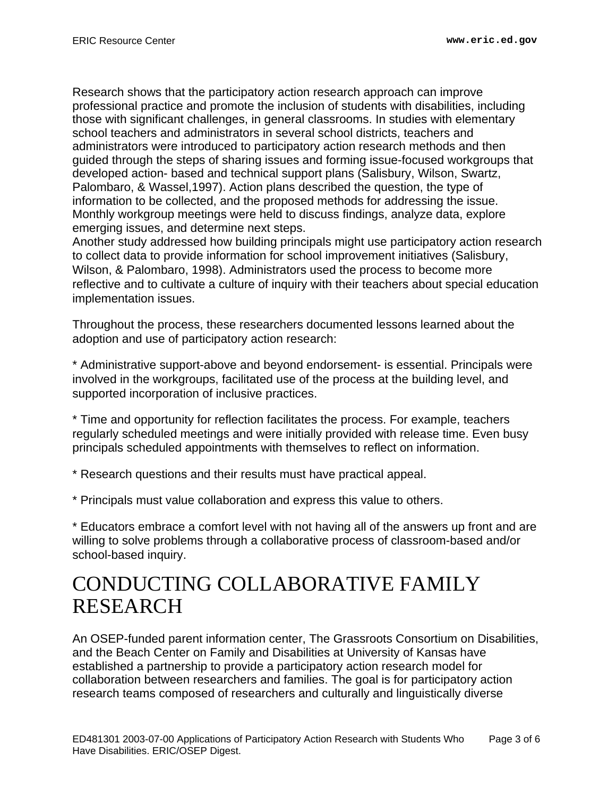Research shows that the participatory action research approach can improve professional practice and promote the inclusion of students with disabilities, including those with significant challenges, in general classrooms. In studies with elementary school teachers and administrators in several school districts, teachers and administrators were introduced to participatory action research methods and then guided through the steps of sharing issues and forming issue-focused workgroups that developed action- based and technical support plans (Salisbury, Wilson, Swartz, Palombaro, & Wassel,1997). Action plans described the question, the type of information to be collected, and the proposed methods for addressing the issue. Monthly workgroup meetings were held to discuss findings, analyze data, explore emerging issues, and determine next steps.

Another study addressed how building principals might use participatory action research to collect data to provide information for school improvement initiatives (Salisbury, Wilson, & Palombaro, 1998). Administrators used the process to become more reflective and to cultivate a culture of inquiry with their teachers about special education implementation issues.

Throughout the process, these researchers documented lessons learned about the adoption and use of participatory action research:

\* Administrative support-above and beyond endorsement- is essential. Principals were involved in the workgroups, facilitated use of the process at the building level, and supported incorporation of inclusive practices.

\* Time and opportunity for reflection facilitates the process. For example, teachers regularly scheduled meetings and were initially provided with release time. Even busy principals scheduled appointments with themselves to reflect on information.

\* Research questions and their results must have practical appeal.

\* Principals must value collaboration and express this value to others.

\* Educators embrace a comfort level with not having all of the answers up front and are willing to solve problems through a collaborative process of classroom-based and/or school-based inquiry.

## <span id="page-2-0"></span>CONDUCTING COLLABORATIVE FAMILY RESEARCH

An OSEP-funded parent information center, The Grassroots Consortium on Disabilities, and the Beach Center on Family and Disabilities at University of Kansas have established a partnership to provide a participatory action research model for collaboration between researchers and families. The goal is for participatory action research teams composed of researchers and culturally and linguistically diverse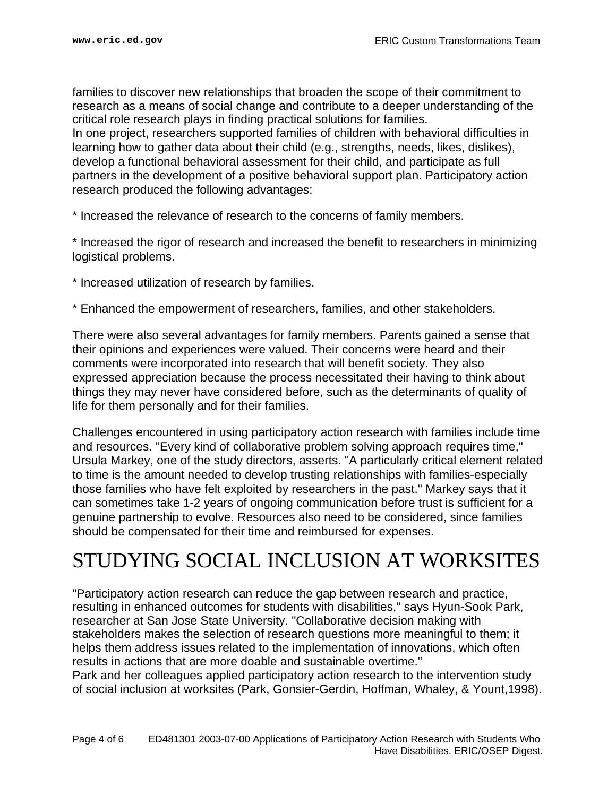families to discover new relationships that broaden the scope of their commitment to research as a means of social change and contribute to a deeper understanding of the critical role research plays in finding practical solutions for families. In one project, researchers supported families of children with behavioral difficulties in learning how to gather data about their child (e.g., strengths, needs, likes, dislikes), develop a functional behavioral assessment for their child, and participate as full partners in the development of a positive behavioral support plan. Participatory action research produced the following advantages:

\* Increased the relevance of research to the concerns of family members.

\* Increased the rigor of research and increased the benefit to researchers in minimizing logistical problems.

- \* Increased utilization of research by families.
- \* Enhanced the empowerment of researchers, families, and other stakeholders.

There were also several advantages for family members. Parents gained a sense that their opinions and experiences were valued. Their concerns were heard and their comments were incorporated into research that will benefit society. They also expressed appreciation because the process necessitated their having to think about things they may never have considered before, such as the determinants of quality of life for them personally and for their families.

Challenges encountered in using participatory action research with families include time and resources. "Every kind of collaborative problem solving approach requires time," Ursula Markey, one of the study directors, asserts. "A particularly critical element related to time is the amount needed to develop trusting relationships with families-especially those families who have felt exploited by researchers in the past." Markey says that it can sometimes take 1-2 years of ongoing communication before trust is sufficient for a genuine partnership to evolve. Resources also need to be considered, since families should be compensated for their time and reimbursed for expenses.

## <span id="page-3-0"></span>STUDYING SOCIAL INCLUSION AT WORKSITES

"Participatory action research can reduce the gap between research and practice, resulting in enhanced outcomes for students with disabilities," says Hyun-Sook Park, researcher at San Jose State University. "Collaborative decision making with stakeholders makes the selection of research questions more meaningful to them; it helps them address issues related to the implementation of innovations, which often results in actions that are more doable and sustainable overtime." Park and her colleagues applied participatory action research to the intervention study

of social inclusion at worksites (Park, Gonsier-Gerdin, Hoffman, Whaley, & Yount,1998).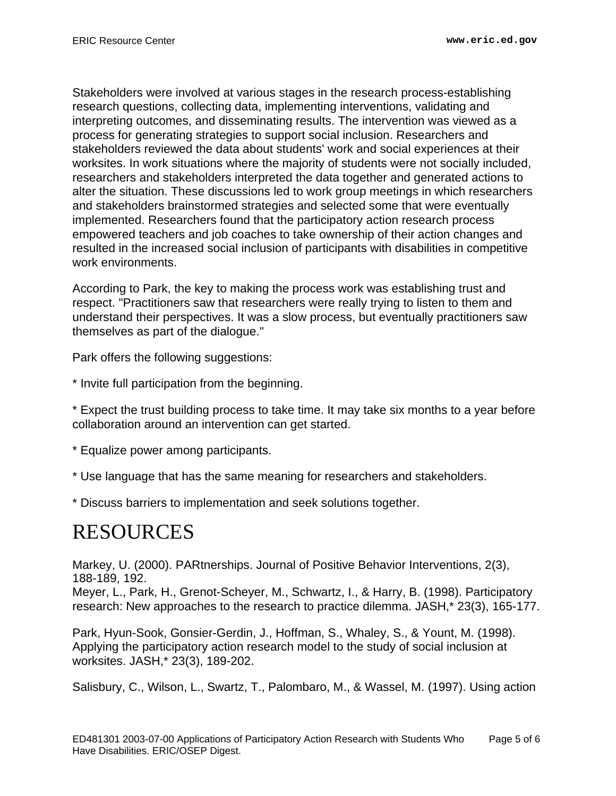Stakeholders were involved at various stages in the research process-establishing research questions, collecting data, implementing interventions, validating and interpreting outcomes, and disseminating results. The intervention was viewed as a process for generating strategies to support social inclusion. Researchers and stakeholders reviewed the data about students' work and social experiences at their worksites. In work situations where the majority of students were not socially included, researchers and stakeholders interpreted the data together and generated actions to alter the situation. These discussions led to work group meetings in which researchers and stakeholders brainstormed strategies and selected some that were eventually implemented. Researchers found that the participatory action research process empowered teachers and job coaches to take ownership of their action changes and resulted in the increased social inclusion of participants with disabilities in competitive work environments.

According to Park, the key to making the process work was establishing trust and respect. "Practitioners saw that researchers were really trying to listen to them and understand their perspectives. It was a slow process, but eventually practitioners saw themselves as part of the dialogue."

Park offers the following suggestions:

\* Invite full participation from the beginning.

\* Expect the trust building process to take time. It may take six months to a year before collaboration around an intervention can get started.

- \* Equalize power among participants.
- \* Use language that has the same meaning for researchers and stakeholders.

\* Discuss barriers to implementation and seek solutions together.

## <span id="page-4-0"></span>RESOURCES

Markey, U. (2000). PARtnerships. Journal of Positive Behavior Interventions, 2(3), 188-189, 192.

Meyer, L., Park, H., Grenot-Scheyer, M., Schwartz, I., & Harry, B. (1998). Participatory research: New approaches to the research to practice dilemma. JASH,\* 23(3), 165-177.

Park, Hyun-Sook, Gonsier-Gerdin, J., Hoffman, S., Whaley, S., & Yount, M. (1998). Applying the participatory action research model to the study of social inclusion at worksites. JASH,\* 23(3), 189-202.

Salisbury, C., Wilson, L., Swartz, T., Palombaro, M., & Wassel, M. (1997). Using action